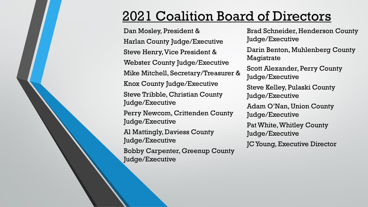## 2021 Coalition Board of Directors

Dan Mosley, President & Harlan County Judge/Executive Steve Henry, Vice President & Webster County Judge/Executive Mike Mitchell, Secretary/Treasurer & Knox County Judge/Executive Steve Tribble, Christian County Judge/Executive Perry Newcom, Crittenden County Judge/Executive Al Mattingly, Daviess County Judge/Executive Bobby Carpenter, Greenup County Judge/Executive

Brad Schneider, Henderson County Judge/Executive Darin Benton, Muhlenberg County Magistrate Scott Alexander, Perry County Judge/Executive Steve Kelley, Pulaski County Judge/Executive Adam O'Nan, Union County Judge/Executive Pat White, Whitley County Judge/Executive JC Young, Executive Director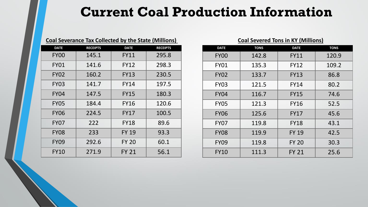#### **Current Coal Production Information**

| <b>Coal Severance Tax Collected by the State (Millions)</b> |                 |              |                 |
|-------------------------------------------------------------|-----------------|--------------|-----------------|
| <b>DATE</b>                                                 | <b>RECEIPTS</b> | <b>DATE</b>  | <b>RECEIPTS</b> |
| <b>FY00</b>                                                 | 145.1           | FY11         | 295.8           |
| <b>FY01</b>                                                 | 141.6           | FY12         | 298.3           |
| <b>FY02</b>                                                 | 160.2           | FY13         | 230.5           |
| <b>FY03</b>                                                 | 141.7           | FY14         | 197.5           |
| <b>FY04</b>                                                 | 147.5           | <b>FY15</b>  | 180.3           |
| <b>FY05</b>                                                 | 184.4           | FY16         | 120.6           |
| <b>FY06</b>                                                 | 224.5           | FY17         | 100.5           |
| <b>FY07</b>                                                 | 222             | <b>FY18</b>  | 89.6            |
| <b>FY08</b>                                                 | 233             | <b>FY 19</b> | 93.3            |
| <b>FY09</b>                                                 | 292.6           | <b>FY 20</b> | 60.1            |
| <b>FY10</b>                                                 | 271.9           | <b>FY 21</b> | 56.1            |

| <b>Coal Severed Tons in KY (Millions)</b> |             |              |             |
|-------------------------------------------|-------------|--------------|-------------|
| <b>DATE</b>                               | <b>TONS</b> | <b>DATE</b>  | <b>TONS</b> |
| <b>FY00</b>                               | 142.8       | <b>FY11</b>  | 120.9       |
| <b>FY01</b>                               | 135.3       | <b>FY12</b>  | 109.2       |
| <b>FY02</b>                               | 133.7       | <b>FY13</b>  | 86.8        |
| <b>FY03</b>                               | 121.5       | FY14         | 80.2        |
| <b>FY04</b>                               | 116.7       | <b>FY15</b>  | 74.6        |
| <b>FY05</b>                               | 121.3       | <b>FY16</b>  | 52.5        |
| <b>FY06</b>                               | 125.6       | <b>FY17</b>  | 45.6        |
| <b>FY07</b>                               | 119.8       | <b>FY18</b>  | 43.1        |
| <b>FY08</b>                               | 119.9       | <b>FY 19</b> | 42.5        |
| <b>FY09</b>                               | 119.8       | <b>FY 20</b> | 30.3        |
| <b>FY10</b>                               | 111.3       | <b>FY 21</b> | 25.6        |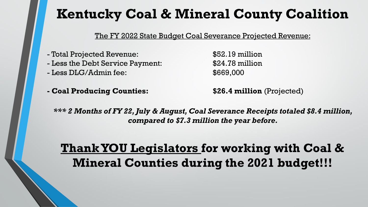The FY 2022 State Budget Coal Severance Projected Revenue:

- Total Projected Revenue: \$52.19 million
- Less the Debt Service Payment:  $$24.78$  million
- Less DLG/Admin fee: \$669,000
- **- Coal Producing Counties: \$26.4 million** (Projected)

*\*\*\* 2 Months of FY 22, July & August, Coal Severance Receipts totaled \$8.4 million, compared to \$7.3 million the year before.* 

#### **Thank YOU Legislators for working with Coal & Mineral Counties during the 2021 budget!!!**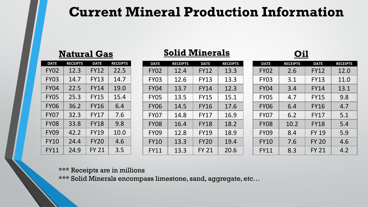#### **Current Mineral Production Information**

#### **Natural Gas**

| <b>DATE</b> | <b>RECEIPTS</b> | <b>DATE</b>  | <b>RECEIPTS</b> |
|-------------|-----------------|--------------|-----------------|
| <b>FY02</b> | 12.3            | <b>FY12</b>  | 22.5            |
| <b>FY03</b> | 14.7            | <b>FY13</b>  | 14.7            |
| <b>FY04</b> | 22.5            | <b>FY14</b>  | 19.0            |
| <b>FY05</b> | 25.3            | <b>FY15</b>  | 15.4            |
| <b>FY06</b> | 36.2            | <b>FY16</b>  | 6.4             |
| <b>FY07</b> | 32.3            | <b>FY17</b>  | 7.6             |
| <b>FY08</b> | 33.8            | <b>FY18</b>  | 9.8             |
| <b>FY09</b> | 42.2            | <b>FY19</b>  | 10.0            |
| <b>FY10</b> | 24.4            | <b>FY20</b>  | 4.6             |
| <b>FY11</b> | 24.9            | <b>FY 21</b> | 3.5             |

#### **Solid Minerals**

| <b>DATE</b> | <b>RECEIPTS</b> | <b>DATE</b>  | <b>RECEIPTS</b> |
|-------------|-----------------|--------------|-----------------|
| <b>FY02</b> | 12.4            | <b>FY12</b>  | 13.3            |
| <b>FY03</b> | 12.6            | <b>FY13</b>  | 13.3            |
| <b>FY04</b> | 13.7            | <b>FY14</b>  | 12.3            |
| <b>FY05</b> | 13.5            | <b>FY15</b>  | 15.1            |
| <b>FY06</b> | 14.5            | <b>FY16</b>  | 17.6            |
| <b>FY07</b> | 14.8            | <b>FY17</b>  | 16.9            |
| <b>FY08</b> | 16.4            | <b>FY18</b>  | 18.2            |
| <b>FY09</b> | 12.8            | <b>FY19</b>  | 18.9            |
| <b>FY10</b> | 13.3            | <b>FY20</b>  | 19.4            |
| <b>FY11</b> | 13.3            | <b>FY 21</b> | 20.6            |

**Oil**

| <b>DATE</b> | <b>RECEIPTS</b> | <b>DATE</b>  | <b>RECEIPTS</b> |
|-------------|-----------------|--------------|-----------------|
| <b>FY02</b> | 2.6             | <b>FY12</b>  | 12.0            |
| <b>FY03</b> | 3.1             | <b>FY13</b>  | 11.0            |
| <b>FY04</b> | 3.4             | <b>FY14</b>  | 13.1            |
| <b>FY05</b> | 4.7             | <b>FY15</b>  | 9.8             |
| <b>FY06</b> | 6.4             | <b>FY16</b>  | 4.7             |
| <b>FY07</b> | 6.2             | <b>FY17</b>  | 5.1             |
| <b>FY08</b> | 10.2            | <b>FY18</b>  | 5.4             |
| <b>FY09</b> | 8.4             | <b>FY 19</b> | 5.9             |
| <b>FY10</b> | 7.6             | <b>FY 20</b> | 4.6             |
| <b>FY11</b> | 8.3             | <b>FY 21</b> | 4.2             |

\*\*\* Receipts are in millions

\*\*\* Solid Minerals encompass limestone, sand, aggregate, etc…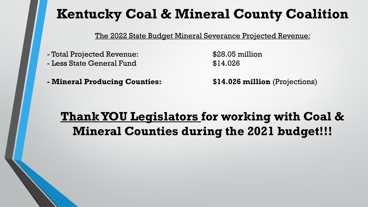The 2022 State Budget Mineral Severance Projected Revenue:

- Total Projected Revenue: \$28.05 million
- Less State General Fund \$14.026

**- Mineral Producing Counties: \$14.026 million** (Projections)

#### **Thank YOU Legislators for working with Coal & Mineral Counties during the 2021 budget!!!**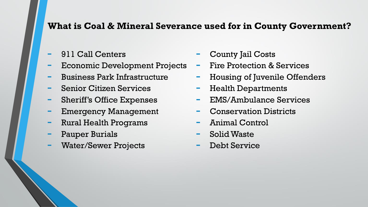#### **What is Coal & Mineral Severance used for in County Government?**

- 911 Call Centers
- Economic Development Projects
- Business Park Infrastructure
- Senior Citizen Services
- Sheriff's Office Expenses
- Emergency Management
- Rural Health Programs
- Pauper Burials
- Water/Sewer Projects
- County Jail Costs
- Fire Protection & Services
- Housing of Juvenile Offenders
- Health Departments
- EMS/Ambulance Services
- Conservation Districts
- Animal Control
- Solid Waste
- Debt Service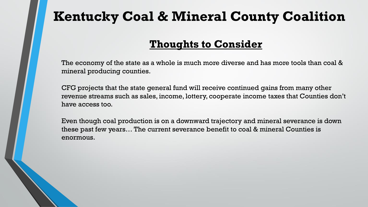#### **Thoughts to Consider**

The economy of the state as a whole is much more diverse and has more tools than coal & mineral producing counties.

CFG projects that the state general fund will receive continued gains from many other revenue streams such as sales, income, lottery, cooperate income taxes that Counties don't have access too.

Even though coal production is on a downward trajectory and mineral severance is down these past few years… The current severance benefit to coal & mineral Counties is enormous.